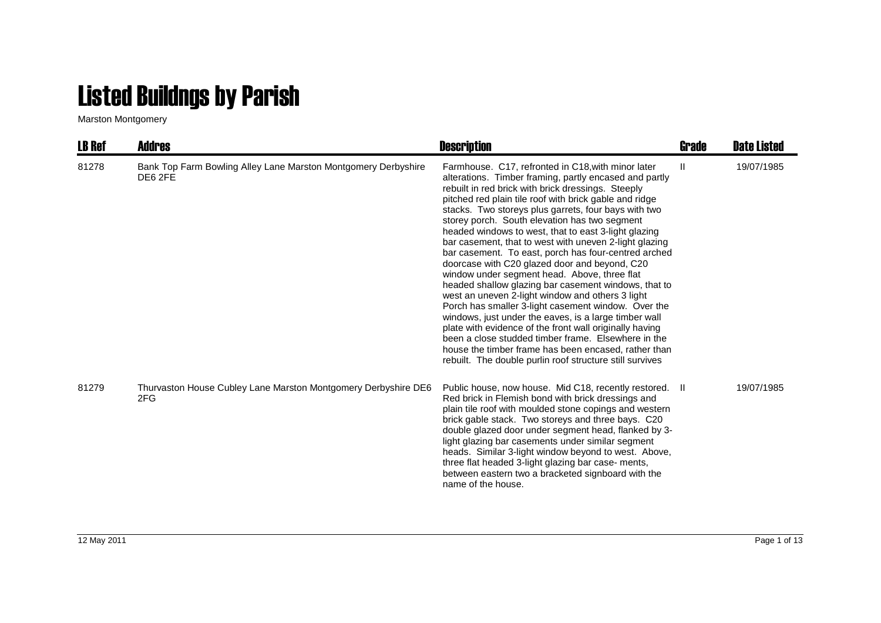## Listed Buildngs by Parish

Marston Montgomery

| <b>LB Ref</b> | <b>Addres</b>                                                             | <b>Description</b>                                                                                                                                                                                                                                                                                                                                                                                                                                                                                                                                                                                                                                                                                                                                                                                                                                                                                                                                                                                                                                                                 | <b>Grade</b> | <b>Date Listed</b> |
|---------------|---------------------------------------------------------------------------|------------------------------------------------------------------------------------------------------------------------------------------------------------------------------------------------------------------------------------------------------------------------------------------------------------------------------------------------------------------------------------------------------------------------------------------------------------------------------------------------------------------------------------------------------------------------------------------------------------------------------------------------------------------------------------------------------------------------------------------------------------------------------------------------------------------------------------------------------------------------------------------------------------------------------------------------------------------------------------------------------------------------------------------------------------------------------------|--------------|--------------------|
| 81278         | Bank Top Farm Bowling Alley Lane Marston Montgomery Derbyshire<br>DE6 2FE | Farmhouse. C17, refronted in C18, with minor later<br>alterations. Timber framing, partly encased and partly<br>rebuilt in red brick with brick dressings. Steeply<br>pitched red plain tile roof with brick gable and ridge<br>stacks. Two storeys plus garrets, four bays with two<br>storey porch. South elevation has two segment<br>headed windows to west, that to east 3-light glazing<br>bar casement, that to west with uneven 2-light glazing<br>bar casement. To east, porch has four-centred arched<br>doorcase with C20 glazed door and beyond, C20<br>window under segment head. Above, three flat<br>headed shallow glazing bar casement windows, that to<br>west an uneven 2-light window and others 3 light<br>Porch has smaller 3-light casement window. Over the<br>windows, just under the eaves, is a large timber wall<br>plate with evidence of the front wall originally having<br>been a close studded timber frame. Elsewhere in the<br>house the timber frame has been encased, rather than<br>rebuilt. The double purlin roof structure still survives | $\mathbf{H}$ | 19/07/1985         |
| 81279         | Thurvaston House Cubley Lane Marston Montgomery Derbyshire DE6<br>2FG     | Public house, now house. Mid C18, recently restored. II<br>Red brick in Flemish bond with brick dressings and<br>plain tile roof with moulded stone copings and western<br>brick gable stack. Two storeys and three bays. C20<br>double glazed door under segment head, flanked by 3-<br>light glazing bar casements under similar segment<br>heads. Similar 3-light window beyond to west. Above,<br>three flat headed 3-light glazing bar case- ments,<br>between eastern two a bracketed signboard with the<br>name of the house.                                                                                                                                                                                                                                                                                                                                                                                                                                                                                                                                               |              | 19/07/1985         |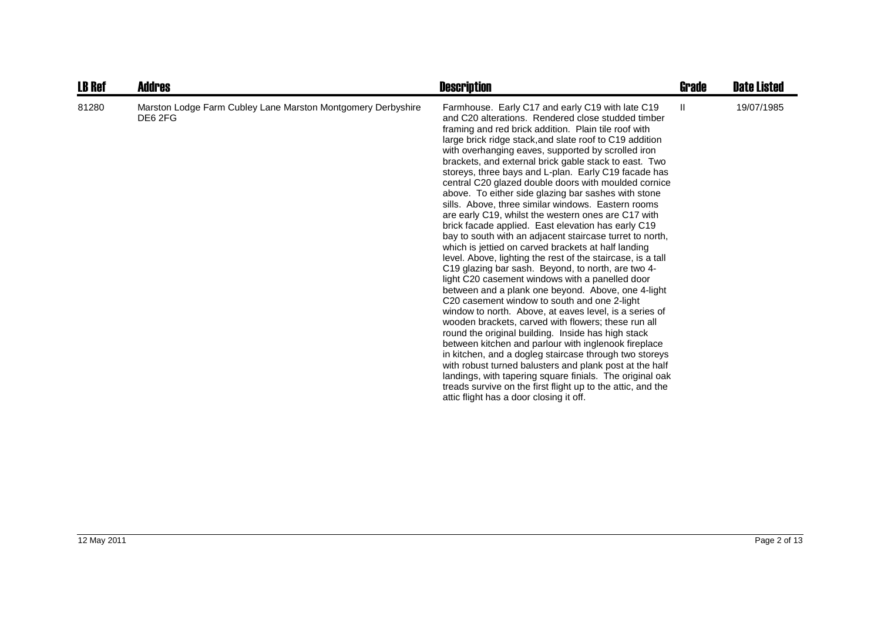| <b>LB Ref</b> | <b>Addres</b>                                                           | <b>Description</b>                                                                                                                                                                                                                                                                                                                                                                                                                                                                                                                                                                                                                                                                                                                                                                                                                                                                                                                                                                                                                                                                                                                                                                                                                                                                                                                                                                                                                                                                                                                                                                                            | Grade        | <b>Date Listed</b> |
|---------------|-------------------------------------------------------------------------|---------------------------------------------------------------------------------------------------------------------------------------------------------------------------------------------------------------------------------------------------------------------------------------------------------------------------------------------------------------------------------------------------------------------------------------------------------------------------------------------------------------------------------------------------------------------------------------------------------------------------------------------------------------------------------------------------------------------------------------------------------------------------------------------------------------------------------------------------------------------------------------------------------------------------------------------------------------------------------------------------------------------------------------------------------------------------------------------------------------------------------------------------------------------------------------------------------------------------------------------------------------------------------------------------------------------------------------------------------------------------------------------------------------------------------------------------------------------------------------------------------------------------------------------------------------------------------------------------------------|--------------|--------------------|
| 81280         | Marston Lodge Farm Cubley Lane Marston Montgomery Derbyshire<br>DE6 2FG | Farmhouse. Early C17 and early C19 with late C19<br>and C20 alterations. Rendered close studded timber<br>framing and red brick addition. Plain tile roof with<br>large brick ridge stack, and slate roof to C19 addition<br>with overhanging eaves, supported by scrolled iron<br>brackets, and external brick gable stack to east. Two<br>storeys, three bays and L-plan. Early C19 facade has<br>central C20 glazed double doors with moulded cornice<br>above. To either side glazing bar sashes with stone<br>sills. Above, three similar windows. Eastern rooms<br>are early C19, whilst the western ones are C17 with<br>brick facade applied. East elevation has early C19<br>bay to south with an adjacent staircase turret to north,<br>which is jettied on carved brackets at half landing<br>level. Above, lighting the rest of the staircase, is a tall<br>C19 glazing bar sash. Beyond, to north, are two 4-<br>light C20 casement windows with a panelled door<br>between and a plank one beyond. Above, one 4-light<br>C20 casement window to south and one 2-light<br>window to north. Above, at eaves level, is a series of<br>wooden brackets, carved with flowers; these run all<br>round the original building. Inside has high stack<br>between kitchen and parlour with inglenook fireplace<br>in kitchen, and a dogleg staircase through two storeys<br>with robust turned balusters and plank post at the half<br>landings, with tapering square finials. The original oak<br>treads survive on the first flight up to the attic, and the<br>attic flight has a door closing it off. | $\mathbf{H}$ | 19/07/1985         |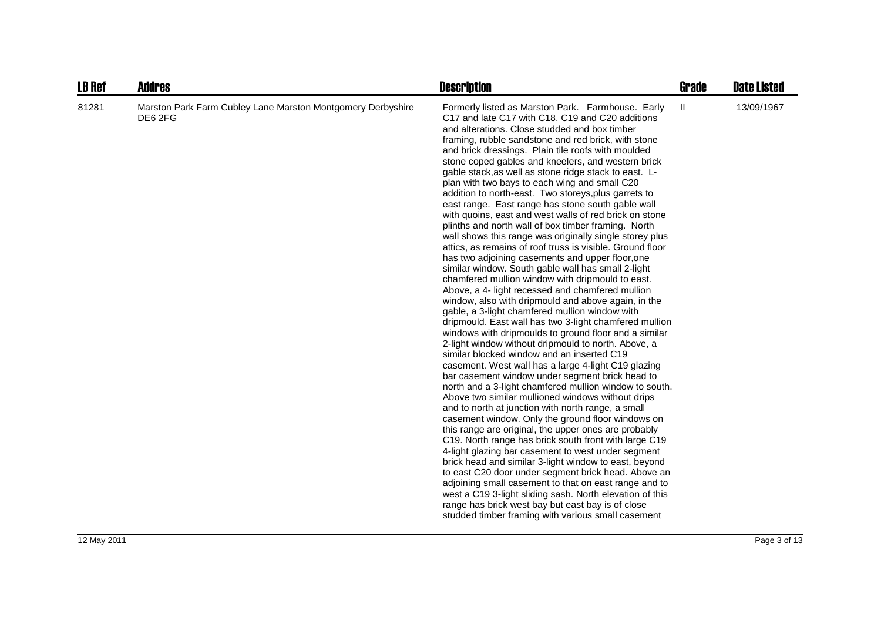| <b>LB Ref</b> | <b>Addres</b>                                                          | <b>Description</b>                                                                                                                                                                                                                                                                                                                                                                                                                                                                                                                                                                                                                                                                                                                                                                                                                                                                                                                                                                                                                                                                                                                                                                                                                                                                                                                                                                                                                                                                                                                                                                                                                                                                                                                                                                                                                                                                                                                                                                                                                                                                                                                                                                                      | <b>Grade</b> | <b>Date Listed</b> |
|---------------|------------------------------------------------------------------------|---------------------------------------------------------------------------------------------------------------------------------------------------------------------------------------------------------------------------------------------------------------------------------------------------------------------------------------------------------------------------------------------------------------------------------------------------------------------------------------------------------------------------------------------------------------------------------------------------------------------------------------------------------------------------------------------------------------------------------------------------------------------------------------------------------------------------------------------------------------------------------------------------------------------------------------------------------------------------------------------------------------------------------------------------------------------------------------------------------------------------------------------------------------------------------------------------------------------------------------------------------------------------------------------------------------------------------------------------------------------------------------------------------------------------------------------------------------------------------------------------------------------------------------------------------------------------------------------------------------------------------------------------------------------------------------------------------------------------------------------------------------------------------------------------------------------------------------------------------------------------------------------------------------------------------------------------------------------------------------------------------------------------------------------------------------------------------------------------------------------------------------------------------------------------------------------------------|--------------|--------------------|
| 81281         | Marston Park Farm Cubley Lane Marston Montgomery Derbyshire<br>DE6 2FG | Formerly listed as Marston Park. Farmhouse. Early<br>C17 and late C17 with C18, C19 and C20 additions<br>and alterations. Close studded and box timber<br>framing, rubble sandstone and red brick, with stone<br>and brick dressings. Plain tile roofs with moulded<br>stone coped gables and kneelers, and western brick<br>gable stack, as well as stone ridge stack to east. L-<br>plan with two bays to each wing and small C20<br>addition to north-east. Two storeys, plus garrets to<br>east range. East range has stone south gable wall<br>with quoins, east and west walls of red brick on stone<br>plinths and north wall of box timber framing. North<br>wall shows this range was originally single storey plus<br>attics, as remains of roof truss is visible. Ground floor<br>has two adjoining casements and upper floor, one<br>similar window. South gable wall has small 2-light<br>chamfered mullion window with dripmould to east.<br>Above, a 4- light recessed and chamfered mullion<br>window, also with dripmould and above again, in the<br>gable, a 3-light chamfered mullion window with<br>dripmould. East wall has two 3-light chamfered mullion<br>windows with dripmoulds to ground floor and a similar<br>2-light window without dripmould to north. Above, a<br>similar blocked window and an inserted C19<br>casement. West wall has a large 4-light C19 glazing<br>bar casement window under segment brick head to<br>north and a 3-light chamfered mullion window to south.<br>Above two similar mullioned windows without drips<br>and to north at junction with north range, a small<br>casement window. Only the ground floor windows on<br>this range are original, the upper ones are probably<br>C19. North range has brick south front with large C19<br>4-light glazing bar casement to west under segment<br>brick head and similar 3-light window to east, beyond<br>to east C20 door under segment brick head. Above an<br>adjoining small casement to that on east range and to<br>west a C19 3-light sliding sash. North elevation of this<br>range has brick west bay but east bay is of close<br>studded timber framing with various small casement | Ш            | 13/09/1967         |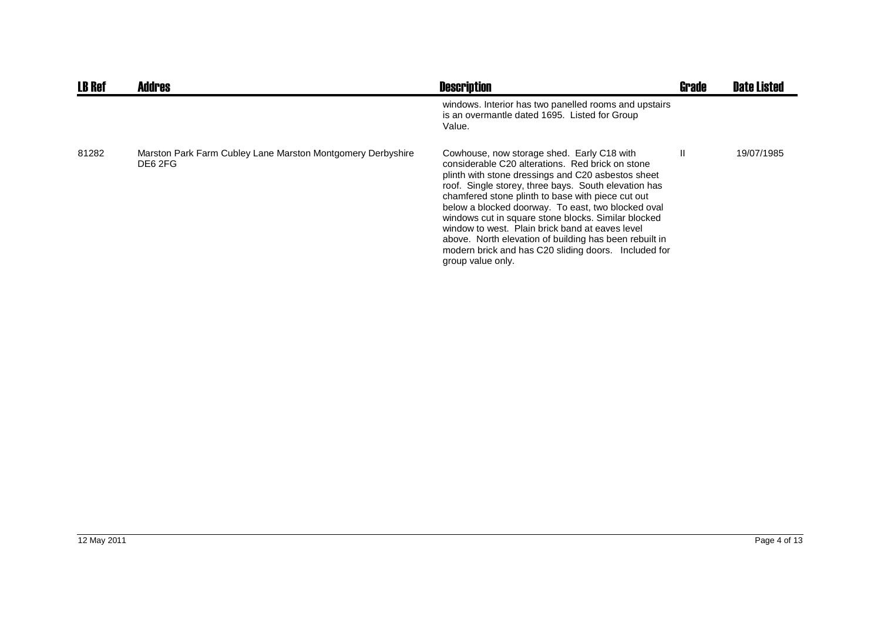| <b>LB Ref</b> | <b>Addres</b>                                                          | <b>Description</b>                                                                                                                                                                                                                                                                                                                                                                                                                                                                                                                                                       | <b>Grade</b> | <b>Date Listed</b> |
|---------------|------------------------------------------------------------------------|--------------------------------------------------------------------------------------------------------------------------------------------------------------------------------------------------------------------------------------------------------------------------------------------------------------------------------------------------------------------------------------------------------------------------------------------------------------------------------------------------------------------------------------------------------------------------|--------------|--------------------|
|               |                                                                        | windows. Interior has two panelled rooms and upstairs<br>is an overmantle dated 1695. Listed for Group<br>Value.                                                                                                                                                                                                                                                                                                                                                                                                                                                         |              |                    |
| 81282         | Marston Park Farm Cubley Lane Marston Montgomery Derbyshire<br>DE6 2FG | Cowhouse, now storage shed. Early C18 with<br>considerable C20 alterations. Red brick on stone<br>plinth with stone dressings and C20 asbestos sheet<br>roof. Single storey, three bays. South elevation has<br>chamfered stone plinth to base with piece cut out<br>below a blocked doorway. To east, two blocked oval<br>windows cut in square stone blocks. Similar blocked<br>window to west. Plain brick band at eaves level<br>above. North elevation of building has been rebuilt in<br>modern brick and has C20 sliding doors. Included for<br>group value only. | Ш            | 19/07/1985         |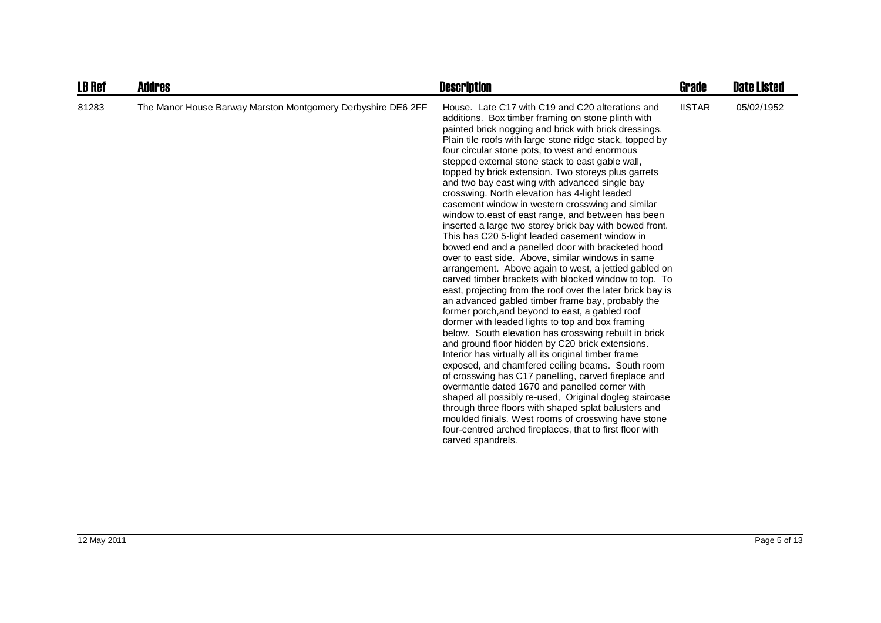| <b>LB Ref</b> | <b>Addres</b>                                                | <b>Description</b>                                                                                                                                                                                                                                                                                                                                                                                                                                                                                                                                                                                                                                                                                                                                                                                                                                                                                                                                                                                                                                                                                                                                                                                                                                                                                                                                                                                                                                                                                                                                                                                                                                                                                                                                                    | Grade         | <b>Date Listed</b> |
|---------------|--------------------------------------------------------------|-----------------------------------------------------------------------------------------------------------------------------------------------------------------------------------------------------------------------------------------------------------------------------------------------------------------------------------------------------------------------------------------------------------------------------------------------------------------------------------------------------------------------------------------------------------------------------------------------------------------------------------------------------------------------------------------------------------------------------------------------------------------------------------------------------------------------------------------------------------------------------------------------------------------------------------------------------------------------------------------------------------------------------------------------------------------------------------------------------------------------------------------------------------------------------------------------------------------------------------------------------------------------------------------------------------------------------------------------------------------------------------------------------------------------------------------------------------------------------------------------------------------------------------------------------------------------------------------------------------------------------------------------------------------------------------------------------------------------------------------------------------------------|---------------|--------------------|
| 81283         | The Manor House Barway Marston Montgomery Derbyshire DE6 2FF | House. Late C17 with C19 and C20 alterations and<br>additions. Box timber framing on stone plinth with<br>painted brick nogging and brick with brick dressings.<br>Plain tile roofs with large stone ridge stack, topped by<br>four circular stone pots, to west and enormous<br>stepped external stone stack to east gable wall,<br>topped by brick extension. Two storeys plus garrets<br>and two bay east wing with advanced single bay<br>crosswing. North elevation has 4-light leaded<br>casement window in western crosswing and similar<br>window to east of east range, and between has been<br>inserted a large two storey brick bay with bowed front.<br>This has C20 5-light leaded casement window in<br>bowed end and a panelled door with bracketed hood<br>over to east side. Above, similar windows in same<br>arrangement. Above again to west, a jettied gabled on<br>carved timber brackets with blocked window to top. To<br>east, projecting from the roof over the later brick bay is<br>an advanced gabled timber frame bay, probably the<br>former porch, and beyond to east, a gabled roof<br>dormer with leaded lights to top and box framing<br>below. South elevation has crosswing rebuilt in brick<br>and ground floor hidden by C20 brick extensions.<br>Interior has virtually all its original timber frame<br>exposed, and chamfered ceiling beams. South room<br>of crosswing has C17 panelling, carved fireplace and<br>overmantle dated 1670 and panelled corner with<br>shaped all possibly re-used, Original dogleg staircase<br>through three floors with shaped splat balusters and<br>moulded finials. West rooms of crosswing have stone<br>four-centred arched fireplaces, that to first floor with<br>carved spandrels. | <b>IISTAR</b> | 05/02/1952         |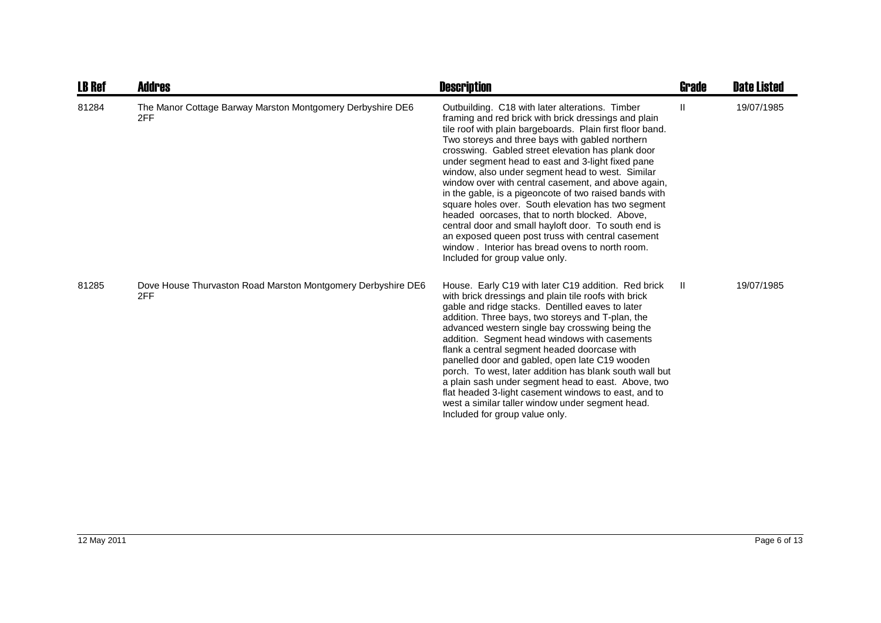| <b>LB Ref</b> | Addres                                                              | <b>Description</b>                                                                                                                                                                                                                                                                                                                                                                                                                                                                                                                                                                                                                                                                                                                                                                                                | <b>Grade</b> | <b>Date Listed</b> |
|---------------|---------------------------------------------------------------------|-------------------------------------------------------------------------------------------------------------------------------------------------------------------------------------------------------------------------------------------------------------------------------------------------------------------------------------------------------------------------------------------------------------------------------------------------------------------------------------------------------------------------------------------------------------------------------------------------------------------------------------------------------------------------------------------------------------------------------------------------------------------------------------------------------------------|--------------|--------------------|
| 81284         | The Manor Cottage Barway Marston Montgomery Derbyshire DE6<br>2FF   | Outbuilding. C18 with later alterations. Timber<br>framing and red brick with brick dressings and plain<br>tile roof with plain bargeboards. Plain first floor band.<br>Two storeys and three bays with gabled northern<br>crosswing. Gabled street elevation has plank door<br>under segment head to east and 3-light fixed pane<br>window, also under segment head to west. Similar<br>window over with central casement, and above again,<br>in the gable, is a pigeoncote of two raised bands with<br>square holes over. South elevation has two segment<br>headed oorcases, that to north blocked. Above,<br>central door and small hayloft door. To south end is<br>an exposed queen post truss with central casement<br>window . Interior has bread ovens to north room.<br>Included for group value only. | Ш            | 19/07/1985         |
| 81285         | Dove House Thurvaston Road Marston Montgomery Derbyshire DE6<br>2FF | House. Early C19 with later C19 addition. Red brick<br>with brick dressings and plain tile roofs with brick<br>gable and ridge stacks. Dentilled eaves to later<br>addition. Three bays, two storeys and T-plan, the<br>advanced western single bay crosswing being the<br>addition. Segment head windows with casements<br>flank a central segment headed doorcase with<br>panelled door and gabled, open late C19 wooden<br>porch. To west, later addition has blank south wall but<br>a plain sash under segment head to east. Above, two<br>flat headed 3-light casement windows to east, and to<br>west a similar taller window under segment head.<br>Included for group value only.                                                                                                                        | $\mathbf{H}$ | 19/07/1985         |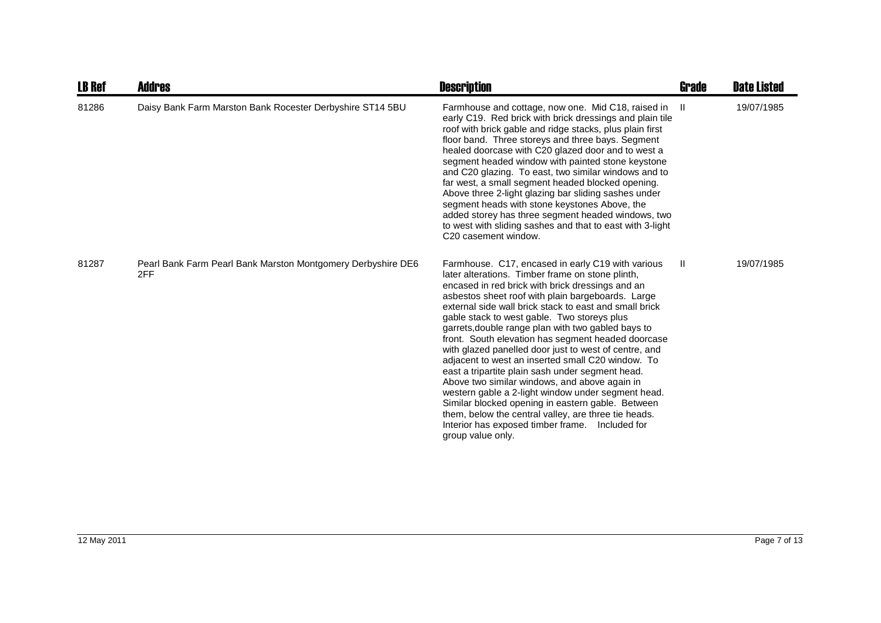| <b>LB Ref</b> | Addres                                                              | <b>Description</b>                                                                                                                                                                                                                                                                                                                                                                                                                                                                                                                                                                                                                                                                                                                                                                                                                                                                                   | <b>Grade</b> | <b>Date Listed</b> |
|---------------|---------------------------------------------------------------------|------------------------------------------------------------------------------------------------------------------------------------------------------------------------------------------------------------------------------------------------------------------------------------------------------------------------------------------------------------------------------------------------------------------------------------------------------------------------------------------------------------------------------------------------------------------------------------------------------------------------------------------------------------------------------------------------------------------------------------------------------------------------------------------------------------------------------------------------------------------------------------------------------|--------------|--------------------|
| 81286         | Daisy Bank Farm Marston Bank Rocester Derbyshire ST14 5BU           | Farmhouse and cottage, now one. Mid C18, raised in II<br>early C19. Red brick with brick dressings and plain tile<br>roof with brick gable and ridge stacks, plus plain first<br>floor band. Three storeys and three bays. Segment<br>healed doorcase with C20 glazed door and to west a<br>segment headed window with painted stone keystone<br>and C20 glazing. To east, two similar windows and to<br>far west, a small segment headed blocked opening.<br>Above three 2-light glazing bar sliding sashes under<br>segment heads with stone keystones Above, the<br>added storey has three segment headed windows, two<br>to west with sliding sashes and that to east with 3-light<br>C20 casement window.                                                                                                                                                                                       |              | 19/07/1985         |
| 81287         | Pearl Bank Farm Pearl Bank Marston Montgomery Derbyshire DE6<br>2FF | Farmhouse. C17, encased in early C19 with various<br>later alterations. Timber frame on stone plinth,<br>encased in red brick with brick dressings and an<br>asbestos sheet roof with plain bargeboards. Large<br>external side wall brick stack to east and small brick<br>gable stack to west gable. Two storeys plus<br>garrets, double range plan with two gabled bays to<br>front. South elevation has segment headed doorcase<br>with glazed panelled door just to west of centre, and<br>adjacent to west an inserted small C20 window. To<br>east a tripartite plain sash under segment head.<br>Above two similar windows, and above again in<br>western gable a 2-light window under segment head.<br>Similar blocked opening in eastern gable. Between<br>them, below the central valley, are three tie heads.<br>Interior has exposed timber frame.<br>Included for<br>group value only. | -II          | 19/07/1985         |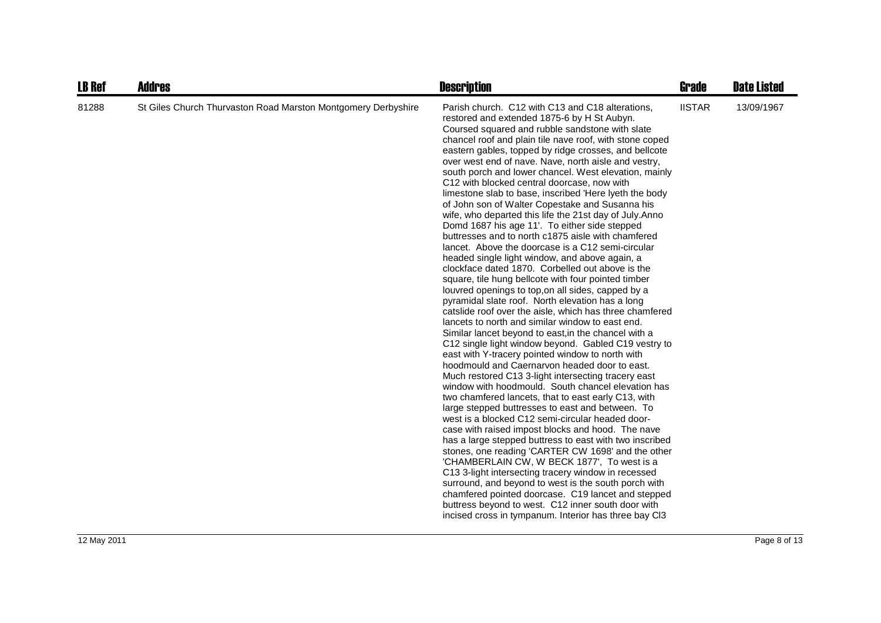| <b>LB Ref</b> | <b>Addres</b>                                                 | <b>Description</b>                                                                                                                                                                                                                                                                                                                                                                                                                                                                                                                                                                                                                                                                                                                                                                                                                                                                                                                                                                                                                                                                                                                                                                                                                                                                                                                                                                                                                                                                                                                                                                                                                                                                                                                                                                                                                                                                                                                                                                                                                                                                                                                                                        | <b>Grade</b>  | <b>Date Listed</b> |
|---------------|---------------------------------------------------------------|---------------------------------------------------------------------------------------------------------------------------------------------------------------------------------------------------------------------------------------------------------------------------------------------------------------------------------------------------------------------------------------------------------------------------------------------------------------------------------------------------------------------------------------------------------------------------------------------------------------------------------------------------------------------------------------------------------------------------------------------------------------------------------------------------------------------------------------------------------------------------------------------------------------------------------------------------------------------------------------------------------------------------------------------------------------------------------------------------------------------------------------------------------------------------------------------------------------------------------------------------------------------------------------------------------------------------------------------------------------------------------------------------------------------------------------------------------------------------------------------------------------------------------------------------------------------------------------------------------------------------------------------------------------------------------------------------------------------------------------------------------------------------------------------------------------------------------------------------------------------------------------------------------------------------------------------------------------------------------------------------------------------------------------------------------------------------------------------------------------------------------------------------------------------------|---------------|--------------------|
| 81288         | St Giles Church Thurvaston Road Marston Montgomery Derbyshire | Parish church. C12 with C13 and C18 alterations,<br>restored and extended 1875-6 by H St Aubyn.<br>Coursed squared and rubble sandstone with slate<br>chancel roof and plain tile nave roof, with stone coped<br>eastern gables, topped by ridge crosses, and bellcote<br>over west end of nave. Nave, north aisle and vestry,<br>south porch and lower chancel. West elevation, mainly<br>C12 with blocked central doorcase, now with<br>limestone slab to base, inscribed 'Here lyeth the body<br>of John son of Walter Copestake and Susanna his<br>wife, who departed this life the 21st day of July.Anno<br>Domd 1687 his age 11'. To either side stepped<br>buttresses and to north c1875 aisle with chamfered<br>lancet. Above the doorcase is a C12 semi-circular<br>headed single light window, and above again, a<br>clockface dated 1870. Corbelled out above is the<br>square, tile hung bellcote with four pointed timber<br>louvred openings to top, on all sides, capped by a<br>pyramidal slate roof. North elevation has a long<br>catslide roof over the aisle, which has three chamfered<br>lancets to north and similar window to east end.<br>Similar lancet beyond to east, in the chancel with a<br>C12 single light window beyond. Gabled C19 vestry to<br>east with Y-tracery pointed window to north with<br>hoodmould and Caernaryon headed door to east.<br>Much restored C13 3-light intersecting tracery east<br>window with hoodmould. South chancel elevation has<br>two chamfered lancets, that to east early C13, with<br>large stepped buttresses to east and between. To<br>west is a blocked C12 semi-circular headed door-<br>case with raised impost blocks and hood. The nave<br>has a large stepped buttress to east with two inscribed<br>stones, one reading 'CARTER CW 1698' and the other<br>'CHAMBERLAIN CW, W BECK 1877', To west is a<br>C13 3-light intersecting tracery window in recessed<br>surround, and beyond to west is the south porch with<br>chamfered pointed doorcase. C19 lancet and stepped<br>buttress beyond to west. C12 inner south door with<br>incised cross in tympanum. Interior has three bay Cl3 | <b>IISTAR</b> | 13/09/1967         |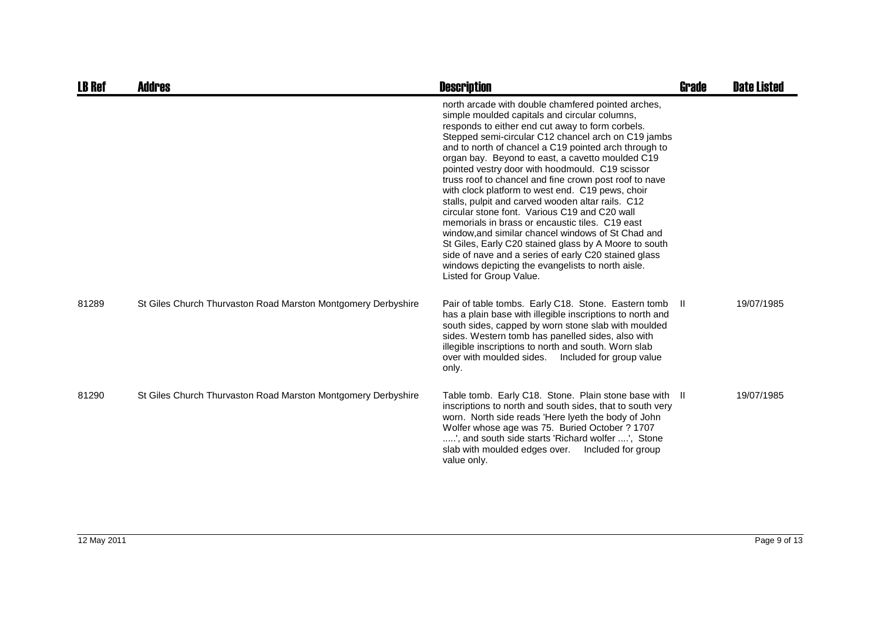| <b>LB Ref</b> | <b>Addres</b>                                                 | <b>Description</b>                                                                                                                                                                                                                                                                                                                                                                                                                                                                                                                                                                                                                                                                                                                                                                                                                                                                                           | <b>Grade</b> | <b>Date Listed</b> |
|---------------|---------------------------------------------------------------|--------------------------------------------------------------------------------------------------------------------------------------------------------------------------------------------------------------------------------------------------------------------------------------------------------------------------------------------------------------------------------------------------------------------------------------------------------------------------------------------------------------------------------------------------------------------------------------------------------------------------------------------------------------------------------------------------------------------------------------------------------------------------------------------------------------------------------------------------------------------------------------------------------------|--------------|--------------------|
|               |                                                               | north arcade with double chamfered pointed arches,<br>simple moulded capitals and circular columns,<br>responds to either end cut away to form corbels.<br>Stepped semi-circular C12 chancel arch on C19 jambs<br>and to north of chancel a C19 pointed arch through to<br>organ bay. Beyond to east, a cavetto moulded C19<br>pointed vestry door with hoodmould. C19 scissor<br>truss roof to chancel and fine crown post roof to nave<br>with clock platform to west end. C19 pews, choir<br>stalls, pulpit and carved wooden altar rails. C12<br>circular stone font. Various C19 and C20 wall<br>memorials in brass or encaustic tiles. C19 east<br>window, and similar chancel windows of St Chad and<br>St Giles, Early C20 stained glass by A Moore to south<br>side of nave and a series of early C20 stained glass<br>windows depicting the evangelists to north aisle.<br>Listed for Group Value. |              |                    |
| 81289         | St Giles Church Thurvaston Road Marston Montgomery Derbyshire | Pair of table tombs. Early C18. Stone. Eastern tomb<br>has a plain base with illegible inscriptions to north and<br>south sides, capped by worn stone slab with moulded<br>sides. Western tomb has panelled sides, also with<br>illegible inscriptions to north and south. Worn slab<br>over with moulded sides.<br>Included for group value<br>only.                                                                                                                                                                                                                                                                                                                                                                                                                                                                                                                                                        | -II.         | 19/07/1985         |
| 81290         | St Giles Church Thurvaston Road Marston Montgomery Derbyshire | Table tomb. Early C18. Stone. Plain stone base with II<br>inscriptions to north and south sides, that to south very<br>worn. North side reads 'Here lyeth the body of John<br>Wolfer whose age was 75. Buried October ? 1707<br>', and south side starts 'Richard wolfer ', Stone<br>slab with moulded edges over.<br>Included for group<br>value only.                                                                                                                                                                                                                                                                                                                                                                                                                                                                                                                                                      |              | 19/07/1985         |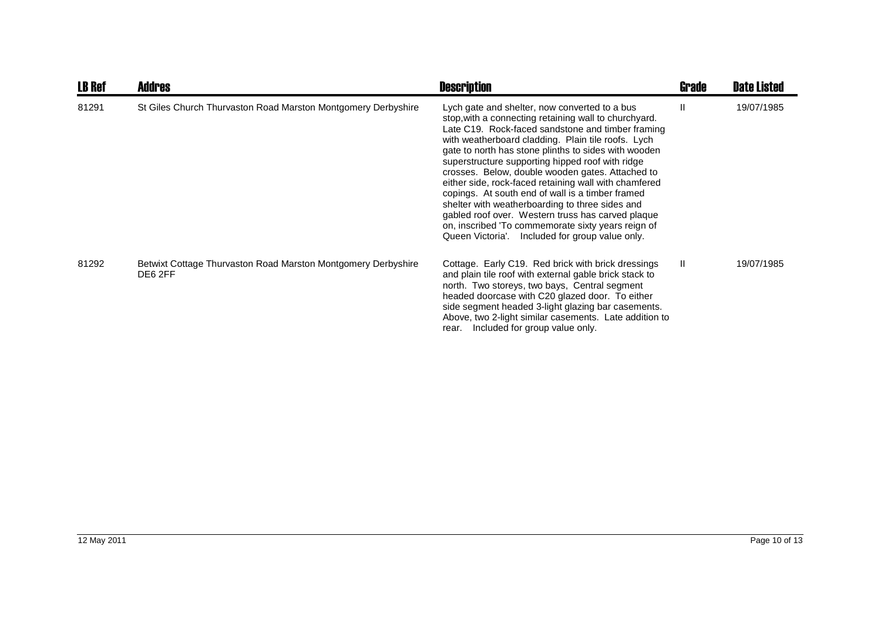| <b>LB Ref</b> | <b>Addres</b>                                                            | <b>Description</b>                                                                                                                                                                                                                                                                                                                                                                                                                                                                                                                                                                                                                                                                                              | Grade | <b>Date Listed</b> |
|---------------|--------------------------------------------------------------------------|-----------------------------------------------------------------------------------------------------------------------------------------------------------------------------------------------------------------------------------------------------------------------------------------------------------------------------------------------------------------------------------------------------------------------------------------------------------------------------------------------------------------------------------------------------------------------------------------------------------------------------------------------------------------------------------------------------------------|-------|--------------------|
| 81291         | St Giles Church Thurvaston Road Marston Montgomery Derbyshire            | Lych gate and shelter, now converted to a bus<br>stop, with a connecting retaining wall to churchyard.<br>Late C19. Rock-faced sandstone and timber framing<br>with weatherboard cladding. Plain tile roofs. Lych<br>gate to north has stone plinths to sides with wooden<br>superstructure supporting hipped roof with ridge<br>crosses. Below, double wooden gates. Attached to<br>either side, rock-faced retaining wall with chamfered<br>copings. At south end of wall is a timber framed<br>shelter with weatherboarding to three sides and<br>gabled roof over. Western truss has carved plaque<br>on, inscribed 'To commemorate sixty years reign of<br>Queen Victoria'. Included for group value only. |       | 19/07/1985         |
| 81292         | Betwixt Cottage Thurvaston Road Marston Montgomery Derbyshire<br>DE6 2FF | Cottage. Early C19. Red brick with brick dressings<br>and plain tile roof with external gable brick stack to<br>north. Two storeys, two bays, Central segment<br>headed doorcase with C20 glazed door. To either<br>side segment headed 3-light glazing bar casements.<br>Above, two 2-light similar casements. Late addition to<br>Included for group value only.<br>rear.                                                                                                                                                                                                                                                                                                                                     | H.    | 19/07/1985         |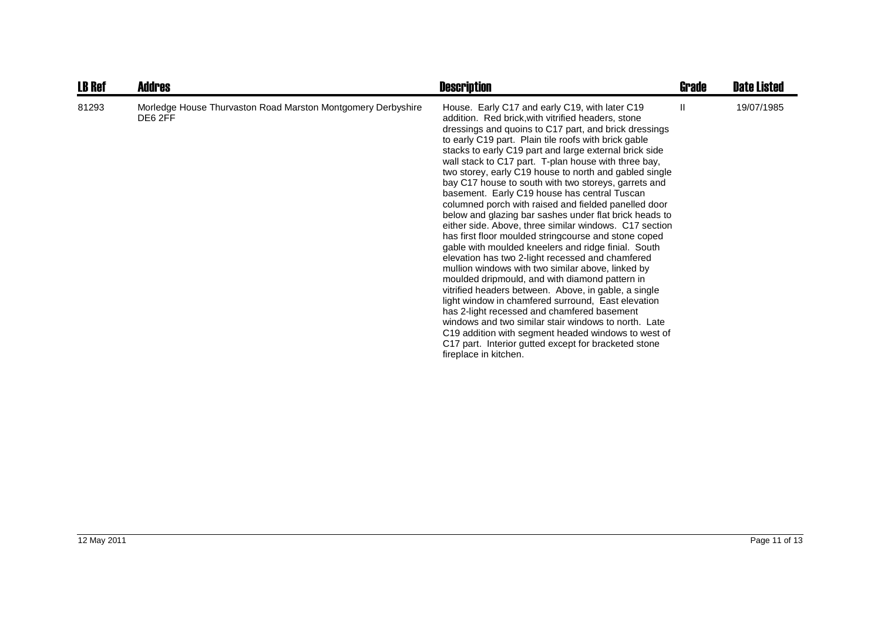| <b>LB Ref</b> | <b>Addres</b>                                                           | <b>Description</b>                                                                                                                                                                                                                                                                                                                                                                                                                                                                                                                                                                                                                                                                                                                                                                                                                                                                                                                                                                                                                                                                                                                                                                                                                                                                                                           | Grade | <b>Date Listed</b> |
|---------------|-------------------------------------------------------------------------|------------------------------------------------------------------------------------------------------------------------------------------------------------------------------------------------------------------------------------------------------------------------------------------------------------------------------------------------------------------------------------------------------------------------------------------------------------------------------------------------------------------------------------------------------------------------------------------------------------------------------------------------------------------------------------------------------------------------------------------------------------------------------------------------------------------------------------------------------------------------------------------------------------------------------------------------------------------------------------------------------------------------------------------------------------------------------------------------------------------------------------------------------------------------------------------------------------------------------------------------------------------------------------------------------------------------------|-------|--------------------|
| 81293         | Morledge House Thurvaston Road Marston Montgomery Derbyshire<br>DE6 2FF | House. Early C17 and early C19, with later C19<br>addition. Red brick, with vitrified headers, stone<br>dressings and quoins to C17 part, and brick dressings<br>to early C19 part. Plain tile roofs with brick gable<br>stacks to early C19 part and large external brick side<br>wall stack to C17 part. T-plan house with three bay,<br>two storey, early C19 house to north and gabled single<br>bay C17 house to south with two storeys, garrets and<br>basement. Early C19 house has central Tuscan<br>columned porch with raised and fielded panelled door<br>below and glazing bar sashes under flat brick heads to<br>either side. Above, three similar windows. C17 section<br>has first floor moulded stringcourse and stone coped<br>gable with moulded kneelers and ridge finial. South<br>elevation has two 2-light recessed and chamfered<br>mullion windows with two similar above, linked by<br>moulded dripmould, and with diamond pattern in<br>vitrified headers between. Above, in gable, a single<br>light window in chamfered surround, East elevation<br>has 2-light recessed and chamfered basement<br>windows and two similar stair windows to north. Late<br>C19 addition with segment headed windows to west of<br>C17 part. Interior gutted except for bracketed stone<br>fireplace in kitchen. | Ш     | 19/07/1985         |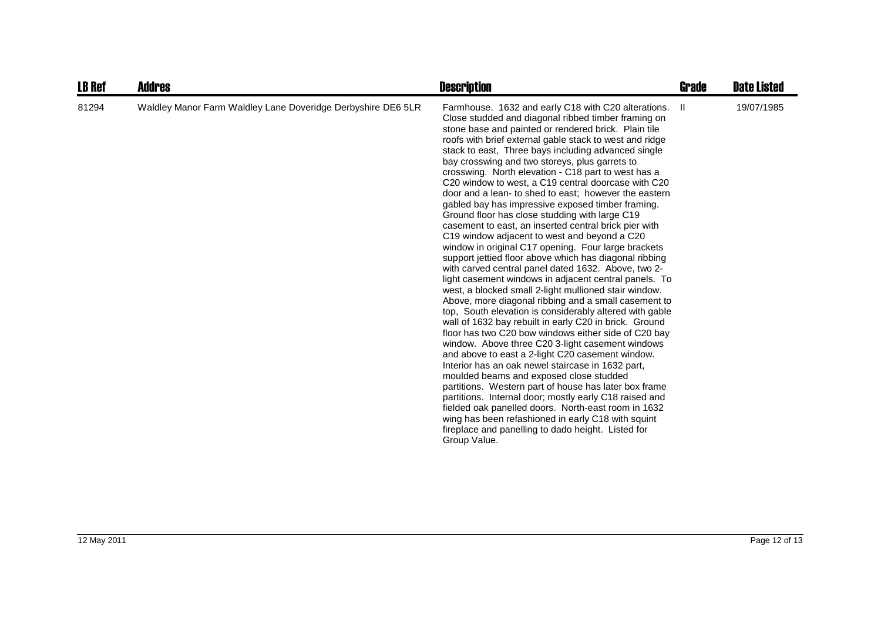| <b>LB Ref</b> | <b>Addres</b>                                                | <b>Description</b>                                                                                                                                                                                                                                                                                                                                                                                                                                                                                                                                                                                                                                                                                                                                                                                                                                                                                                                                                                                                                                                                                                                                                                                                                                                                                                                                                                                                                                                                                                                                                                                                                                                                                                                                                         | Grade | <b>Date Listed</b> |
|---------------|--------------------------------------------------------------|----------------------------------------------------------------------------------------------------------------------------------------------------------------------------------------------------------------------------------------------------------------------------------------------------------------------------------------------------------------------------------------------------------------------------------------------------------------------------------------------------------------------------------------------------------------------------------------------------------------------------------------------------------------------------------------------------------------------------------------------------------------------------------------------------------------------------------------------------------------------------------------------------------------------------------------------------------------------------------------------------------------------------------------------------------------------------------------------------------------------------------------------------------------------------------------------------------------------------------------------------------------------------------------------------------------------------------------------------------------------------------------------------------------------------------------------------------------------------------------------------------------------------------------------------------------------------------------------------------------------------------------------------------------------------------------------------------------------------------------------------------------------------|-------|--------------------|
| 81294         | Waldley Manor Farm Waldley Lane Doveridge Derbyshire DE6 5LR | Farmhouse. 1632 and early C18 with C20 alterations.<br>Close studded and diagonal ribbed timber framing on<br>stone base and painted or rendered brick. Plain tile<br>roofs with brief external gable stack to west and ridge<br>stack to east, Three bays including advanced single<br>bay crosswing and two storeys, plus garrets to<br>crosswing. North elevation - C18 part to west has a<br>C20 window to west, a C19 central doorcase with C20<br>door and a lean- to shed to east; however the eastern<br>gabled bay has impressive exposed timber framing.<br>Ground floor has close studding with large C19<br>casement to east, an inserted central brick pier with<br>C19 window adjacent to west and beyond a C20<br>window in original C17 opening. Four large brackets<br>support jettied floor above which has diagonal ribbing<br>with carved central panel dated 1632. Above, two 2-<br>light casement windows in adjacent central panels. To<br>west, a blocked small 2-light mullioned stair window.<br>Above, more diagonal ribbing and a small casement to<br>top, South elevation is considerably altered with gable<br>wall of 1632 bay rebuilt in early C20 in brick. Ground<br>floor has two C20 bow windows either side of C20 bay<br>window. Above three C20 3-light casement windows<br>and above to east a 2-light C20 casement window.<br>Interior has an oak newel staircase in 1632 part,<br>moulded beams and exposed close studded<br>partitions. Western part of house has later box frame<br>partitions. Internal door; mostly early C18 raised and<br>fielded oak panelled doors. North-east room in 1632<br>wing has been refashioned in early C18 with squint<br>fireplace and panelling to dado height. Listed for<br>Group Value. | -II   | 19/07/1985         |